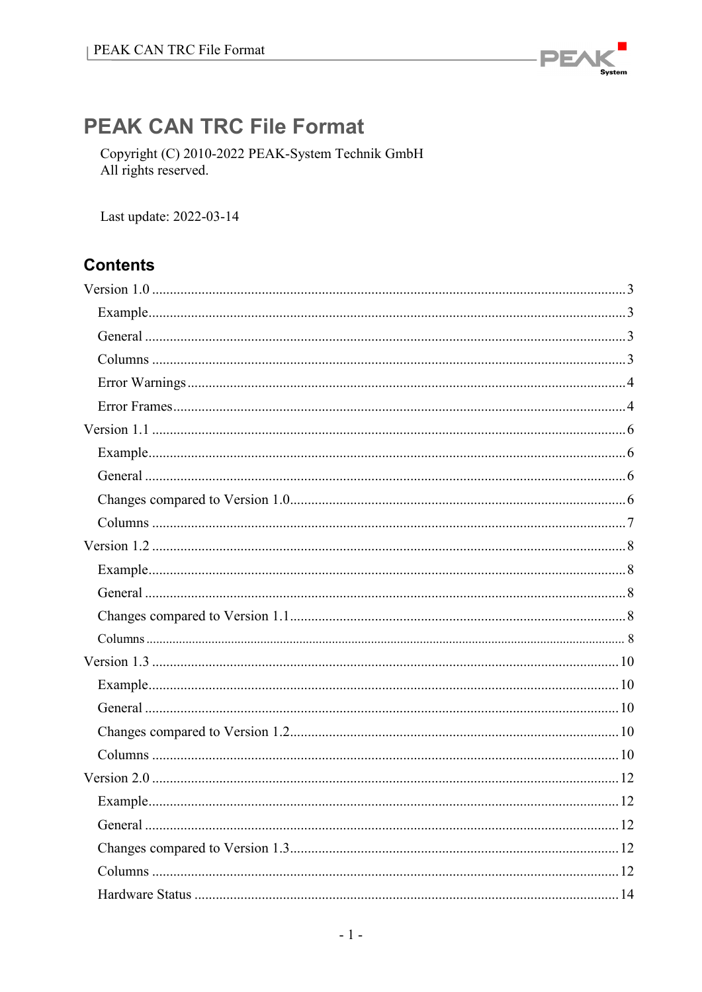

# **PEAK CAN TRC File Format**

Copyright (C) 2010-2022 PEAK-System Technik GmbH All rights reserved.

Last update: 2022-03-14

# **Contents**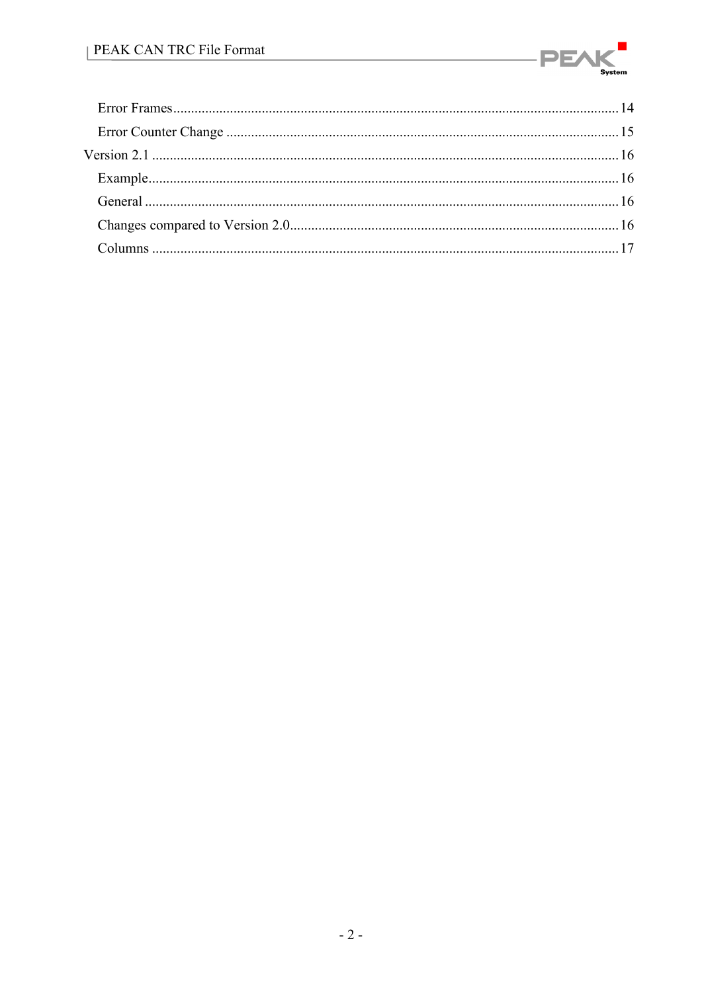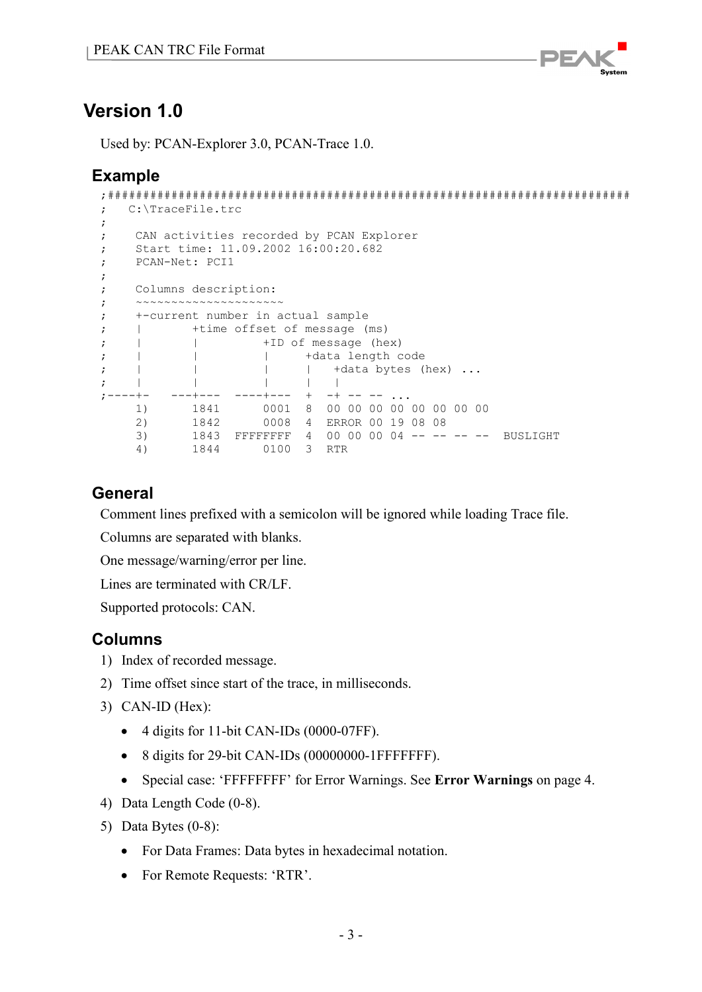

<span id="page-2-0"></span>Used by: PCAN-Explorer 3.0, PCAN-Trace 1.0.

# <span id="page-2-1"></span>**Example**

```
;##########################################################################
   ; C:\TraceFile.trc
;
; CAN activities recorded by PCAN Explorer
; Start time: 11.09.2002 16:00:20.682
; PCAN-Net: PCI1
;
; Columns description:
; ~~~~~~~~~~~~~~~~~~~~~~
; +-current number in actual sample
; | +time offset of message (ms)
; | | +ID of message (hex)
; | | | | +data length code<br>; | | | | +data bytes (
; | | | | +data bytes (hex) ...
; | | | | |
;----+- ---+--- ----+--- + -+ -- -- ...
 1) 1841 0001 8 00 00 00 00 00 00 00 00 
 2) 1842 0008 4 ERROR 00 19 08 08
 3) 1843 FFFFFFFF 4 00 00 00 04 -- -- -- -- BUSLIGHT
     4) 1844 0100 3 RTR
```
# <span id="page-2-2"></span>**General**

Comment lines prefixed with a semicolon will be ignored while loading Trace file.

Columns are separated with blanks.

One message/warning/error per line.

Lines are terminated with CR/LF.

<span id="page-2-3"></span>Supported protocols: CAN.

- 1) Index of recorded message.
- 2) Time offset since start of the trace, in milliseconds.
- 3) CAN-ID (Hex):
	- 4 digits for 11-bit CAN-IDs (0000-07FF).
	- 8 digits for 29-bit CAN-IDs (00000000-1FFFFFFF).
	- Special case: 'FFFFFFFF' for Error Warnings. See **[Error Warnings](#page-3-0)** on page 4.
- 4) Data Length Code (0-8).
- 5) Data Bytes (0-8):
	- For Data Frames: Data bytes in hexadecimal notation.
	- For Remote Requests: 'RTR'.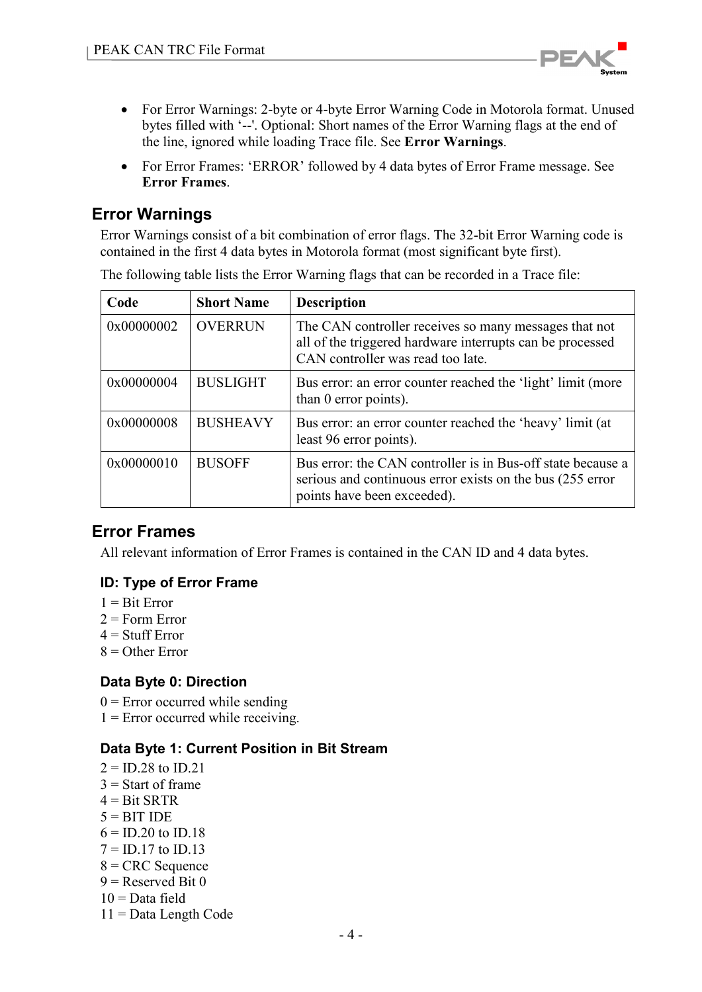

- For Error Warnings: 2-byte or 4-byte Error Warning Code in Motorola format. Unused bytes filled with '--'. Optional: Short names of the Error Warning flags at the end of the line, ignored while loading Trace file. See **[Error Warnings](#page-3-0)**.
- For Error Frames: 'ERROR' followed by 4 data bytes of Error Frame message. See **[Error Frames](#page-3-1)**.

# <span id="page-3-0"></span>**Error Warnings**

Error Warnings consist of a bit combination of error flags. The 32-bit Error Warning code is contained in the first 4 data bytes in Motorola format (most significant byte first).

**Code Short Name Description**  $0x00000002$  OVERRUN The CAN controller receives so many messages that not all of the triggered hardware interrupts can be processed CAN controller was read too late.  $0x00000004$  BUSLIGHT Bus error: an error counter reached the 'light' limit (more than 0 error points).  $0x00000008$  BUSHEAVY Bus error: an error counter reached the 'heavy' limit (at least 96 error points).  $0x0000010$  BUSOFF Bus error: the CAN controller is in Bus-off state because a serious and continuous error exists on the bus (255 error points have been exceeded).

The following table lists the Error Warning flags that can be recorded in a Trace file:

# <span id="page-3-1"></span>**Error Frames**

All relevant information of Error Frames is contained in the CAN ID and 4 data bytes.

#### **ID: Type of Error Frame**

- $1 =$ Rit Error
- $2 =$ Form Error
- $4 =$ Stuff Error
- $8 =$  Other Error

#### **Data Byte 0: Direction**

- $0 =$  Error occurred while sending
- $1 =$  Error occurred while receiving.

#### **Data Byte 1: Current Position in Bit Stream**

 $2 = ID.28$  to  $ID.21$  $3 =$ Start of frame  $4 =$ Bit SRTR  $5 = BITIDE$  $6 = 1D.20$  to  $1D.18$  $7 = ID.17$  to  $ID.13$  $8 =$  CRC Sequence  $9$  = Reserved Bit 0  $10 = Data field$ 11 = Data Length Code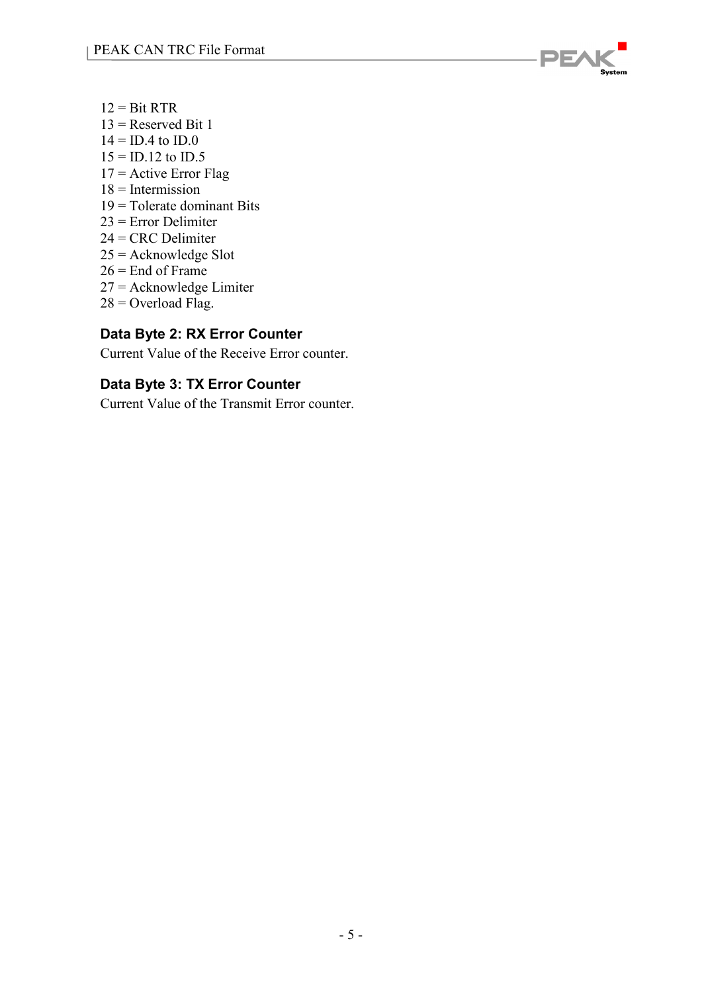

- $12 = \text{Bit} \text{ RTR}$
- $13$  = Reserved Bit 1
- $14 =$  ID.4 to ID.0
- $15 = ID.12$  to  $ID.5$
- $17$  = Active Error Flag
- $18$  = Intermission
- $19$  = Tolerate dominant Bits
- 23 = Error Delimiter
- 24 = CRC Delimiter
- 25 = Acknowledge Slot
- $26$  = End of Frame
- 27 = Acknowledge Limiter
- $28 =$  Overload Flag.

### **Data Byte 2: RX Error Counter**

Current Value of the Receive Error counter.

### **Data Byte 3: TX Error Counter**

Current Value of the Transmit Error counter.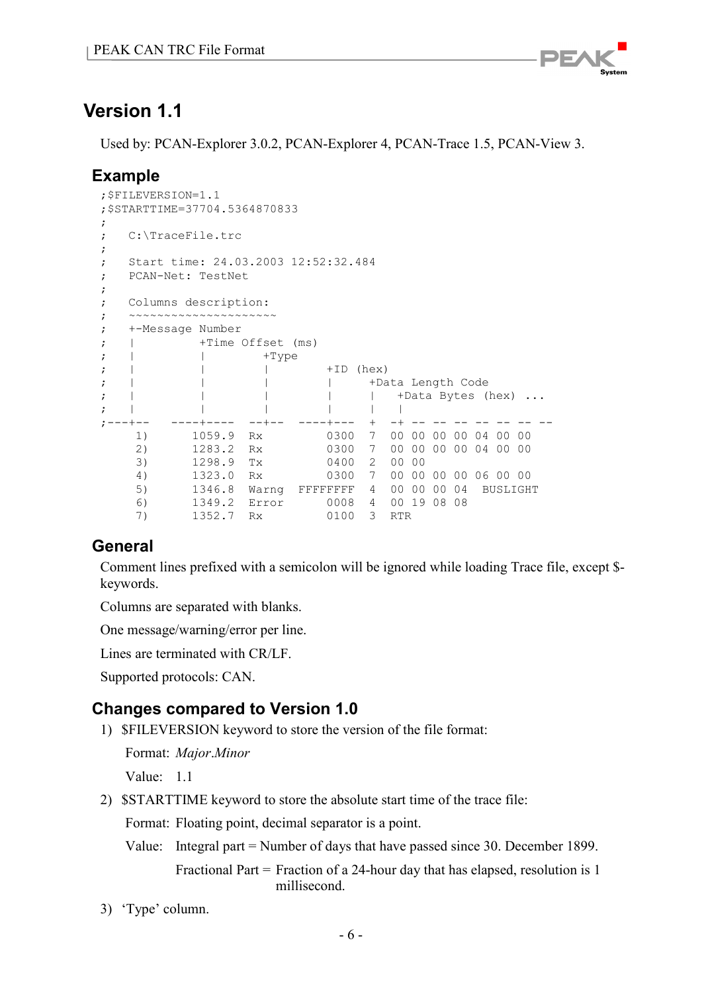

<span id="page-5-0"></span>Used by: PCAN-Explorer 3.0.2, PCAN-Explorer 4, PCAN-Trace 1.5, PCAN-View 3.

# <span id="page-5-1"></span>**Example**

```
;$FILEVERSION=1.1
;$STARTTIME=37704.5364870833
;
; C:\TraceFile.trc
;
; Start time: 24.03.2003 12:52:32.484
; PCAN-Net: TestNet
;
; Columns description:
; ~~~~~~~~~~~~~~~~~~~~~~
; +-Message Number
; | +Time Offset (ms)
; | | +Type<br>; | | |
; | | | +ID (hex)
; | | | | +Data Length Code<br>; | | | | | +Data Bytes (
; | | | | | +Data Bytes (hex) ...
; | | | | | |
;---+-- ----+---- --+-- ----+--- + -+ -- -- -- -- -- -- --
 1) 1059.9 Rx 0300 7 00 00 00 00 04 00 00 
 2) 1283.2 Rx 0300 7 00 00 00 00 04 00 00 
 3) 1298.9 Tx 0400 2 00 00 
 4) 1323.0 Rx 0300 7 00 00 00 00 06 00 00
 5) 1346.8 Warng FFFFFFFF 4 00 00 00 04 BUSLIGHT
 6) 1349.2 Error 0008 4 00 19 08 08
 7) 1352.7 Rx 0100 3 RTR
```
# <span id="page-5-2"></span>**General**

Comment lines prefixed with a semicolon will be ignored while loading Trace file, except \$ keywords.

Columns are separated with blanks.

One message/warning/error per line.

Lines are terminated with CR/LF.

Supported protocols: CAN.

# <span id="page-5-3"></span>**Changes compared to Version 1.0**

1) \$FILEVERSION keyword to store the version of the file format:

Format: *Major*.*Minor*

Value: 1.1

2) \$STARTTIME keyword to store the absolute start time of the trace file:

Format: Floating point, decimal separator is a point.

Value: Integral part = Number of days that have passed since 30. December 1899.

Fractional Part = Fraction of a 24-hour day that has elapsed, resolution is 1 millisecond.

3) 'Type' column.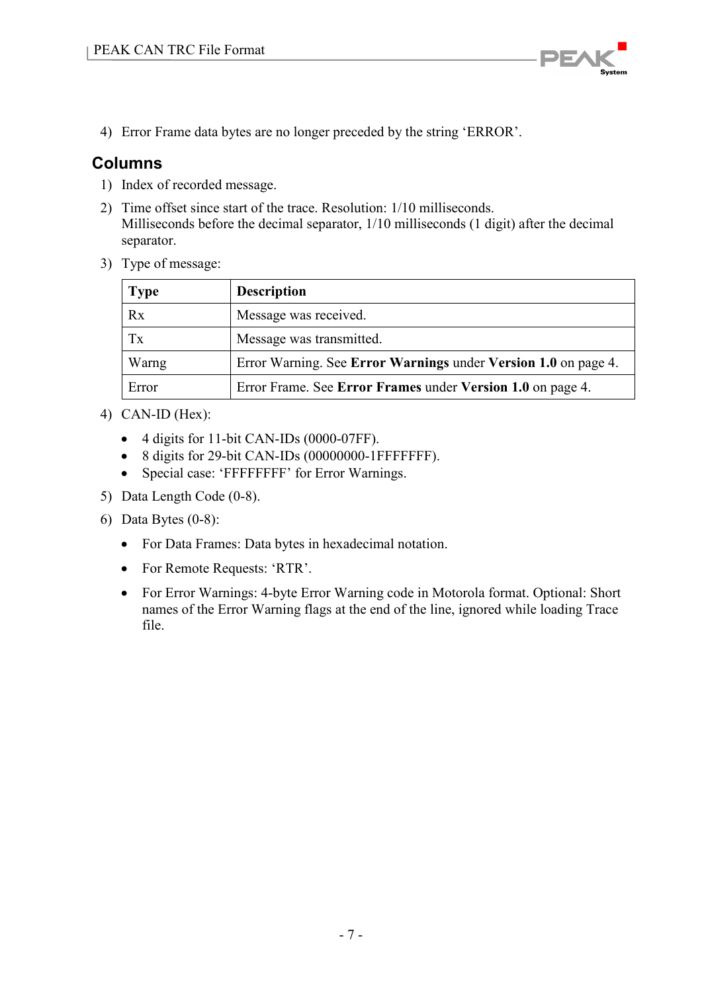

<span id="page-6-0"></span>4) Error Frame data bytes are no longer preceded by the string 'ERROR'.

- 1) Index of recorded message.
- 2) Time offset since start of the trace. Resolution: 1/10 milliseconds. Milliseconds before the decimal separator, 1/10 milliseconds (1 digit) after the decimal separator.
- 3) Type of message:

| <b>Type</b> | <b>Description</b>                                             |
|-------------|----------------------------------------------------------------|
| Rx          | Message was received.                                          |
| Tx          | Message was transmitted.                                       |
| Warng       | Error Warning. See Error Warnings under Version 1.0 on page 4. |
| Error       | Error Frame. See Error Frames under Version 1.0 on page 4.     |

- 4) CAN-ID (Hex):
	- 4 digits for 11-bit CAN-IDs (0000-07FF).
	- 8 digits for 29-bit CAN-IDs (00000000-1FFFFFFFF).
	- Special case: 'FFFFFFFF' for Error Warnings.
- 5) Data Length Code (0-8).
- 6) Data Bytes (0-8):
	- For Data Frames: Data bytes in hexadecimal notation.
	- For Remote Requests: 'RTR'.
	- For Error Warnings: 4-byte Error Warning code in Motorola format. Optional: Short names of the Error Warning flags at the end of the line, ignored while loading Trace file.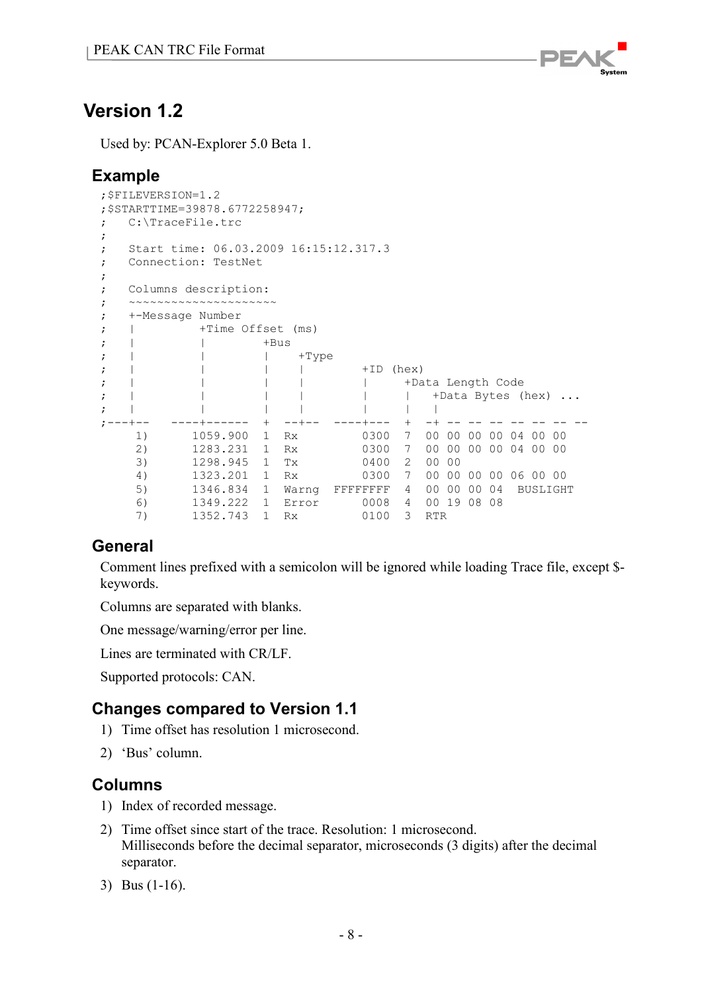

<span id="page-7-0"></span>Used by: PCAN-Explorer 5.0 Beta 1.

# <span id="page-7-1"></span>**Example**

```
;$FILEVERSION=1.2
;$STARTTIME=39878.6772258947;
; C:\TraceFile.trc
;
; Start time: 06.03.2009 16:15:12.317.3
; Connection: TestNet
;
; Columns description:
; ~~~~~~~~~~~~~~~~~~~~~
; +-Message Number
; |\hspace{.1cm}+Time Offset (ms)
; | | +Bus
; | | | +Type
; | | | | +ID (hex)
; | | | | | +Data Length Code
; | | | | | | +Data Bytes (hex) ...
; | | | | | | |
;---+-- ----+------ + --+-- ----+--- + -+ -- -- -- -- -- -- --
    1) 1059.900 1 Rx 0300 7 00 00 00 00 04 00 00 
 2) 1283.231 1 Rx 0300 7 00 00 00 00 04 00 00 
 3) 1298.945 1 Tx 0400 2 00 00 
 4) 1323.201 1 Rx 0300 7 00 00 00 00 06 00 00 
 5) 1346.834 1 Warng FFFFFFFF 4 00 00 00 04 BUSLIGHT
 6) 1349.222 1 Error 0008 4 00 19 08 08
 7) 1352.743 1 Rx 0100 3 RTR
```
# <span id="page-7-2"></span>**General**

Comment lines prefixed with a semicolon will be ignored while loading Trace file, except \$ keywords.

Columns are separated with blanks.

One message/warning/error per line.

Lines are terminated with CR/LF.

Supported protocols: CAN.

# <span id="page-7-3"></span>**Changes compared to Version 1.1**

- 1) Time offset has resolution 1 microsecond.
- <span id="page-7-4"></span>2) 'Bus' column.

- 1) Index of recorded message.
- 2) Time offset since start of the trace. Resolution: 1 microsecond. Milliseconds before the decimal separator, microseconds (3 digits) after the decimal separator.
- 3) Bus (1-16).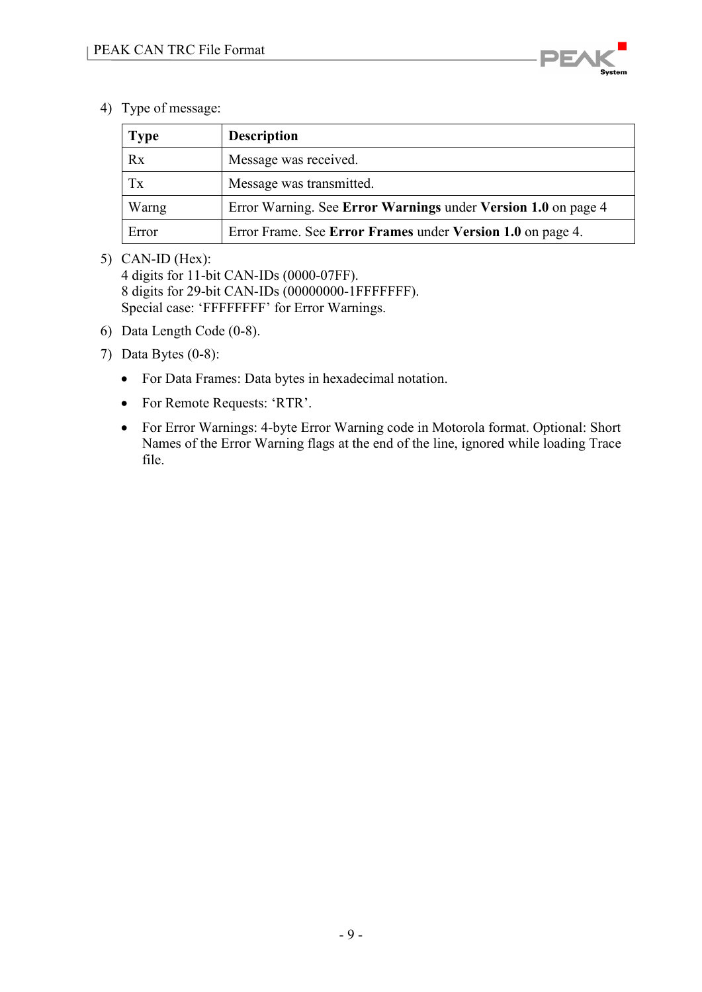

4) Type of message:

| <b>Type</b> | <b>Description</b>                                            |
|-------------|---------------------------------------------------------------|
| Rx          | Message was received.                                         |
| Tx          | Message was transmitted.                                      |
| Warng       | Error Warning. See Error Warnings under Version 1.0 on page 4 |
| Error       | Error Frame. See Error Frames under Version 1.0 on page 4.    |

#### 5) CAN-ID (Hex):

4 digits for 11-bit CAN-IDs (0000-07FF). 8 digits for 29-bit CAN-IDs (00000000-1FFFFFFF). Special case: 'FFFFFFFF' for Error Warnings.

- 6) Data Length Code (0-8).
- 7) Data Bytes (0-8):
	- For Data Frames: Data bytes in hexadecimal notation.
	- For Remote Requests: 'RTR'.
	- For Error Warnings: 4-byte Error Warning code in Motorola format. Optional: Short Names of the Error Warning flags at the end of the line, ignored while loading Trace file.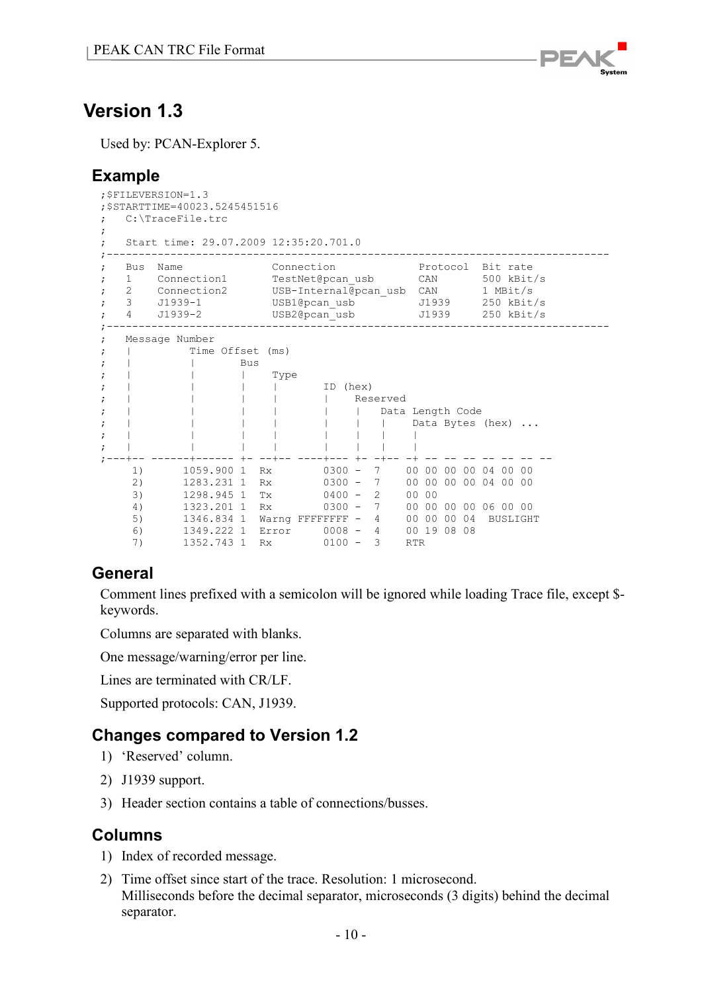

<span id="page-9-0"></span>Used by: PCAN-Explorer 5.

## <span id="page-9-1"></span>**Example**

|                          | ; \$FILEVERSION=1.3<br>; \$STARTTIME=40023.5245451516<br>C:\TraceFile.trc |                                                                                                                      |            |      |                             |          |  |                                                                                   |            |                  |  |          |                                    |  |
|--------------------------|---------------------------------------------------------------------------|----------------------------------------------------------------------------------------------------------------------|------------|------|-----------------------------|----------|--|-----------------------------------------------------------------------------------|------------|------------------|--|----------|------------------------------------|--|
| ÷                        |                                                                           | Start time: 29.07.2009 12:35:20.701.0                                                                                |            |      |                             |          |  |                                                                                   |            |                  |  |          |                                    |  |
| $\ddot{ }$               | Bus                                                                       | Name<br>1 Connection1 TestNet@pcan usb<br>2 Connection2 USB-Internal@pcan usb CAN 1 MBit/s<br>3 J1939-1<br>4 J1939-2 |            |      | Connection<br>USB1@pcan usb |          |  | Protocol                                                                          |            |                  |  | Bit rate | CAN 500 kBit/s<br>J1939 250 kBit/s |  |
| $\ddot{ }$<br>$\ddot{ }$ |                                                                           | Message Number<br>Time Offset (ms)                                                                                   | <b>Bus</b> |      |                             |          |  |                                                                                   |            |                  |  |          |                                    |  |
| $\ddot{ }$               |                                                                           |                                                                                                                      |            | Type |                             | ID (hex) |  |                                                                                   |            |                  |  |          |                                    |  |
|                          |                                                                           |                                                                                                                      |            |      |                             |          |  | Reserved<br>Data Length Code                                                      |            | Data Bytes (hex) |  |          |                                    |  |
|                          |                                                                           |                                                                                                                      |            |      |                             |          |  |                                                                                   |            |                  |  |          |                                    |  |
|                          | 1)<br>2)<br>3)                                                            | 1059.900 1 Rx<br>1283.231 1 Rx<br>1298.945 1 Tx                                                                      |            |      |                             |          |  | 0300 - 7 00 00 00 00 04 00 00<br>0300 - 7 00 00 00 00 04 00 00<br>$0400 - 2 0000$ |            |                  |  |          |                                    |  |
|                          | 4)<br>5)<br>6)<br>7)                                                      | 1323.201 1 Rx<br>1346.834 1 Warng FFFFFFFF - 4 00 00 00 04 BUSLIGHT<br>1352.743 1 Rx                                 |            |      |                             |          |  | 0300 - 7 00 00 00 00 06 00 00<br>$0100 - 3$                                       | <b>RTR</b> |                  |  |          |                                    |  |

# <span id="page-9-2"></span>**General**

Comment lines prefixed with a semicolon will be ignored while loading Trace file, except \$ keywords.

Columns are separated with blanks.

One message/warning/error per line.

Lines are terminated with CR/LF.

Supported protocols: CAN, J1939.

## <span id="page-9-3"></span>**Changes compared to Version 1.2**

- 1) 'Reserved' column.
- 2) J1939 support.
- <span id="page-9-4"></span>3) Header section contains a table of connections/busses.

- 1) Index of recorded message.
- 2) Time offset since start of the trace. Resolution: 1 microsecond. Milliseconds before the decimal separator, microseconds (3 digits) behind the decimal separator.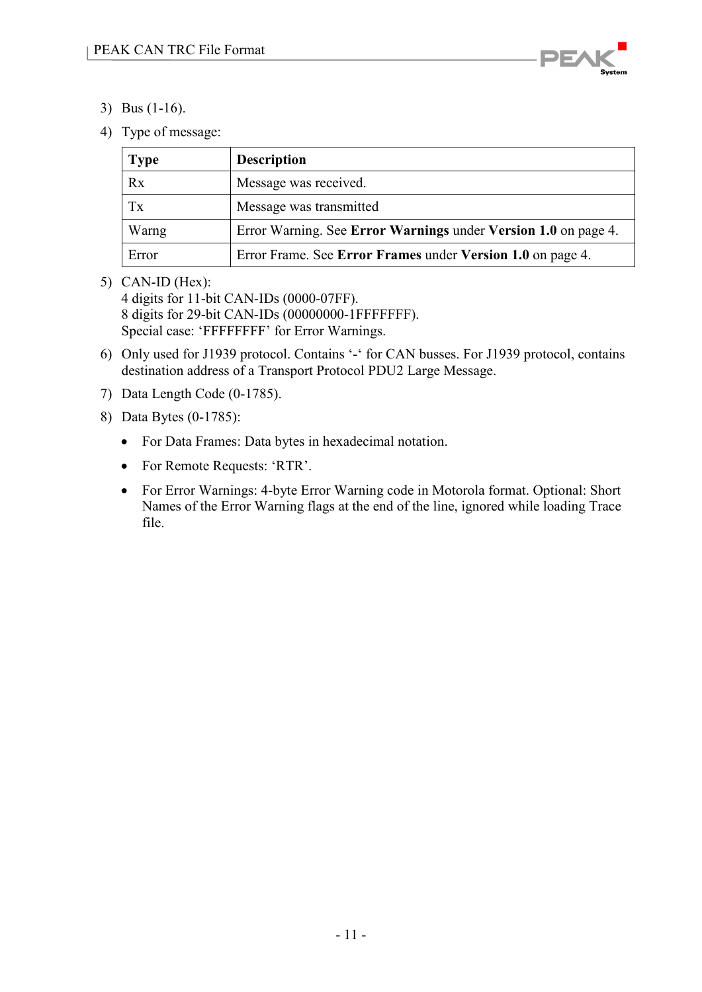

- 3) Bus (1-16).
- 4) Type of message:

| <b>Type</b> | <b>Description</b>                                             |
|-------------|----------------------------------------------------------------|
| Rx          | Message was received.                                          |
| Tx          | Message was transmitted                                        |
| Warng       | Error Warning. See Error Warnings under Version 1.0 on page 4. |
| Error       | Error Frame. See Error Frames under Version 1.0 on page 4.     |

5) CAN-ID (Hex):

4 digits for 11-bit CAN-IDs (0000-07FF). 8 digits for 29-bit CAN-IDs (00000000-1FFFFFFF). Special case: 'FFFFFFFF' for Error Warnings.

- 6) Only used for J1939 protocol. Contains '-' for CAN busses. For J1939 protocol, contains destination address of a Transport Protocol PDU2 Large Message.
- 7) Data Length Code (0-1785).
- 8) Data Bytes (0-1785):
	- For Data Frames: Data bytes in hexadecimal notation.
	- For Remote Requests: 'RTR'.
	- For Error Warnings: 4-byte Error Warning code in Motorola format. Optional: Short Names of the Error Warning flags at the end of the line, ignored while loading Trace file.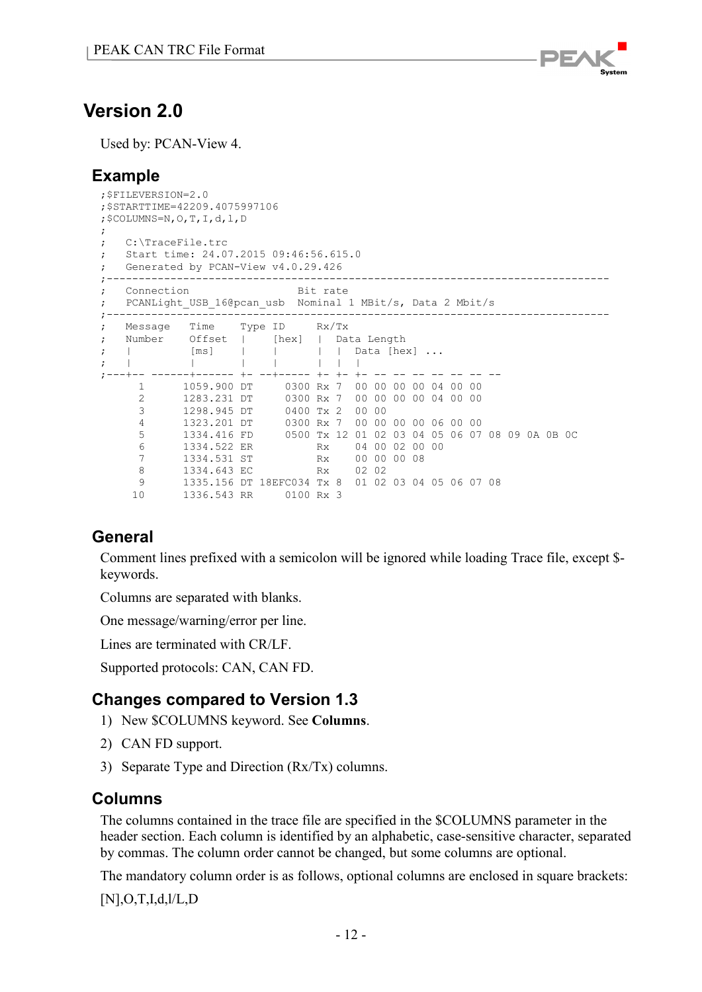

# <span id="page-11-0"></span>**Version 2.0**

Used by: PCAN-View 4.

# <span id="page-11-1"></span>**Example**

```
;$FILEVERSION=2.0
;$STARTTIME=42209.4075997106
;$COLUMNS=N,O,T,I,d,l,D
;
; C:\TraceFile.trc
; Start time: 24.07.2015 09:46:56.615.0
; Generated by PCAN-View v4.0.29.426
;-------------------------------------------------------------------------------
; Connection Bit rate
; PCANLight_USB_16@pcan_usb Nominal 1 MBit/s, Data 2 Mbit/s
;-------------------------------------------------------------------------------
; Message Time Type ID Rx/Tx
; Number Offset | [hex] | Data Length<br>; | [ms] | | | Data [he]
; | [ms] | | | Data [hex] ...
; | | | | | | |
;---+-- ------+------ +- --+----- +- +- +- -- -- -- -- -- -- --
 1 1059.900 DT 0300 Rx 7 00 00 00 00 04 00 00 
 2 1283.231 DT 0300 Rx 7 00 00 00 00 04 00 00 
 3 1298.945 DT 0400 Tx 2 00 00 
 4 1323.201 DT 0300 Rx 7 00 00 00 00 06 00 00 
 5 1334.416 FD 0500 Tx 12 01 02 03 04 05 06 07 08 09 0A 0B 0C
 6 1334.522 ER Rx 04 00 02 00 00
     7 1334.531 ST Rx 00 00 00 08<br>8 1334.643 EC Rx 02 02
 8 1334.643 EC Rx 02 02
 9 1335.156 DT 18EFC034 Tx 8 01 02 03 04 05 06 07 08
     10 1336.543 RR 0100 Rx 3
```
# <span id="page-11-2"></span>**General**

Comment lines prefixed with a semicolon will be ignored while loading Trace file, except \$ keywords.

Columns are separated with blanks.

One message/warning/error per line.

Lines are terminated with CR/LF.

Supported protocols: CAN, CAN FD.

# <span id="page-11-3"></span>**Changes compared to Version 1.3**

- 1) New \$COLUMNS keyword. See **[Columns](#page-11-4)**.
- 2) CAN FD support.
- 3) Separate Type and Direction (Rx/Tx) columns.

## <span id="page-11-4"></span>**Columns**

The columns contained in the trace file are specified in the \$COLUMNS parameter in the header section. Each column is identified by an alphabetic, case-sensitive character, separated by commas. The column order cannot be changed, but some columns are optional.

The mandatory column order is as follows, optional columns are enclosed in square brackets:

[N],O,T,I,d,l/L,D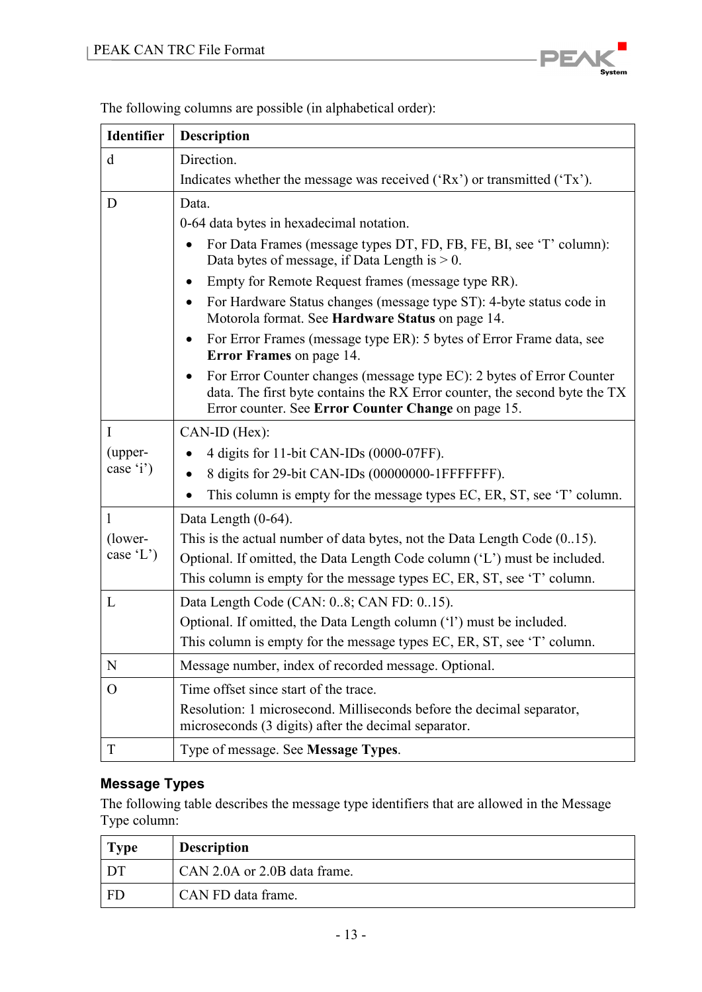

| Identifier    | <b>Description</b>                                                                                                                                                                                                      |
|---------------|-------------------------------------------------------------------------------------------------------------------------------------------------------------------------------------------------------------------------|
| d             | Direction.                                                                                                                                                                                                              |
|               | Indicates whether the message was received $({Rx})$ or transmitted $({Tx})$ .                                                                                                                                           |
| D             | Data.                                                                                                                                                                                                                   |
|               | 0-64 data bytes in hexadecimal notation.                                                                                                                                                                                |
|               | For Data Frames (message types DT, FD, FB, FE, BI, see 'T' column):<br>$\bullet$<br>Data bytes of message, if Data Length is $> 0$ .                                                                                    |
|               | Empty for Remote Request frames (message type RR).<br>٠                                                                                                                                                                 |
|               | For Hardware Status changes (message type ST): 4-byte status code in<br>$\bullet$<br>Motorola format. See Hardware Status on page 14.                                                                                   |
|               | For Error Frames (message type ER): 5 bytes of Error Frame data, see<br>$\bullet$<br><b>Error Frames</b> on page 14.                                                                                                    |
|               | For Error Counter changes (message type EC): 2 bytes of Error Counter<br>$\bullet$<br>data. The first byte contains the RX Error counter, the second byte the TX<br>Error counter. See Error Counter Change on page 15. |
| $\mathbf I$   | CAN-ID (Hex):                                                                                                                                                                                                           |
| (upper-       | 4 digits for 11-bit CAN-IDs (0000-07FF).                                                                                                                                                                                |
| case 'i')     | 8 digits for 29-bit CAN-IDs (00000000-1FFFFFFFF).                                                                                                                                                                       |
|               | This column is empty for the message types EC, ER, ST, see 'T' column.                                                                                                                                                  |
| $\mathbf{1}$  | Data Length (0-64).                                                                                                                                                                                                     |
| (lower-       | This is the actual number of data bytes, not the Data Length Code $(015)$ .                                                                                                                                             |
| case $(L')$   | Optional. If omitted, the Data Length Code column ('L') must be included.                                                                                                                                               |
|               | This column is empty for the message types EC, ER, ST, see 'T' column.                                                                                                                                                  |
| L             | Data Length Code (CAN: 08; CAN FD: 015).                                                                                                                                                                                |
|               | Optional. If omitted, the Data Length column ('1') must be included.                                                                                                                                                    |
|               | This column is empty for the message types EC, ER, ST, see 'T' column.                                                                                                                                                  |
| $\mathbf N$   | Message number, index of recorded message. Optional.                                                                                                                                                                    |
| $\mathcal{O}$ | Time offset since start of the trace.                                                                                                                                                                                   |
|               | Resolution: 1 microsecond. Milliseconds before the decimal separator,<br>microseconds (3 digits) after the decimal separator.                                                                                           |
| T             | Type of message. See Message Types.                                                                                                                                                                                     |

The following columns are possible (in alphabetical order):

## <span id="page-12-0"></span>**Message Types**

The following table describes the message type identifiers that are allowed in the Message Type column:

| <b>Type</b> | <b>Description</b>           |
|-------------|------------------------------|
| ı DT        | CAN 2.0A or 2.0B data frame. |
| FD          | CAN FD data frame.           |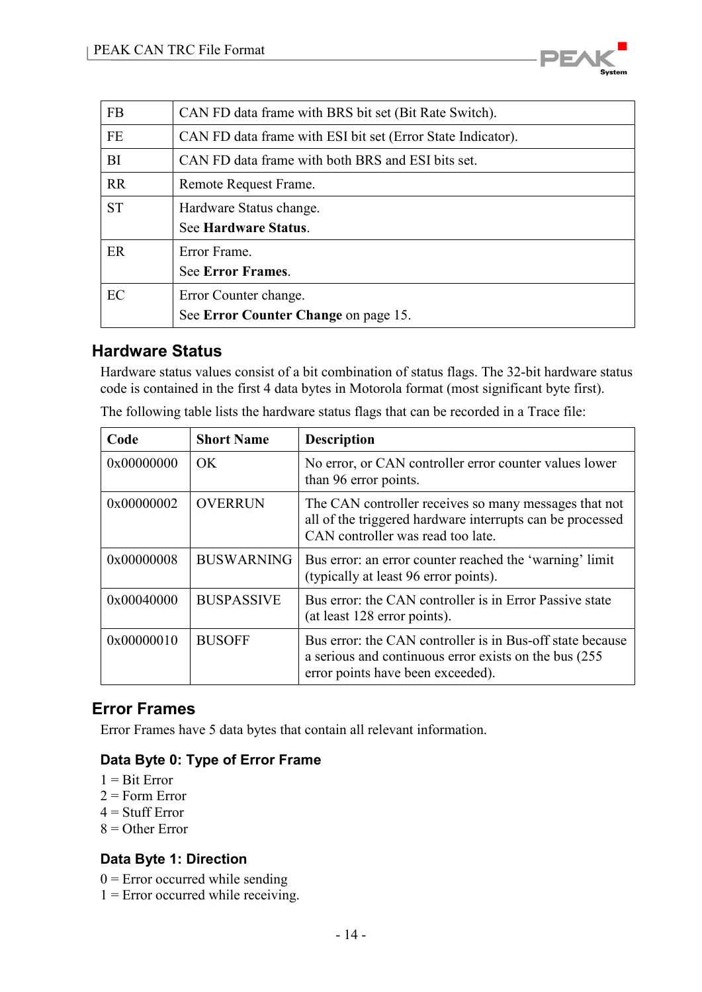

| <b>FB</b> | CAN FD data frame with BRS bit set (Bit Rate Switch).       |
|-----------|-------------------------------------------------------------|
| <b>FE</b> | CAN FD data frame with ESI bit set (Error State Indicator). |
| <b>BI</b> | CAN FD data frame with both BRS and ESI bits set.           |
| <b>RR</b> | Remote Request Frame.                                       |
| <b>ST</b> | Hardware Status change.                                     |
|           | See Hardware Status.                                        |
| ER        | Error Frame.                                                |
|           | <b>See Error Frames.</b>                                    |
| EC        | Error Counter change.                                       |
|           | See Error Counter Change on page 15.                        |

### <span id="page-13-0"></span>**Hardware Status**

Hardware status values consist of a bit combination of status flags. The 32-bit hardware status code is contained in the first 4 data bytes in Motorola format (most significant byte first).

| Code       | <b>Short Name</b> | <b>Description</b>                                                                                                                                       |
|------------|-------------------|----------------------------------------------------------------------------------------------------------------------------------------------------------|
| 0x00000000 | OK.               | No error, or CAN controller error counter values lower<br>than 96 error points.                                                                          |
| 0x00000002 | <b>OVERRUN</b>    | The CAN controller receives so many messages that not<br>all of the triggered hardware interrupts can be processed<br>CAN controller was read too late.  |
| 0x00000008 | <b>BUSWARNING</b> | Bus error: an error counter reached the 'warning' limit<br>(typically at least 96 error points).                                                         |
| 0x00040000 | <b>BUSPASSIVE</b> | Bus error: the CAN controller is in Error Passive state<br>(at least 128 error points).                                                                  |
| 0x00000010 | <b>BUSOFF</b>     | Bus error: the CAN controller is in Bus-off state because<br>a serious and continuous error exists on the bus (255)<br>error points have been exceeded). |

The following table lists the hardware status flags that can be recorded in a Trace file:

## <span id="page-13-1"></span>**Error Frames**

Error Frames have 5 data bytes that contain all relevant information.

#### **Data Byte 0: Type of Error Frame**

- $1 =$ Bit Error
- $2 =$ Form Error
- $4 =$  Stuff Error
- $8 =$  Other Error

#### **Data Byte 1: Direction**

- $0 =$  Error occurred while sending
- $1 =$  Error occurred while receiving.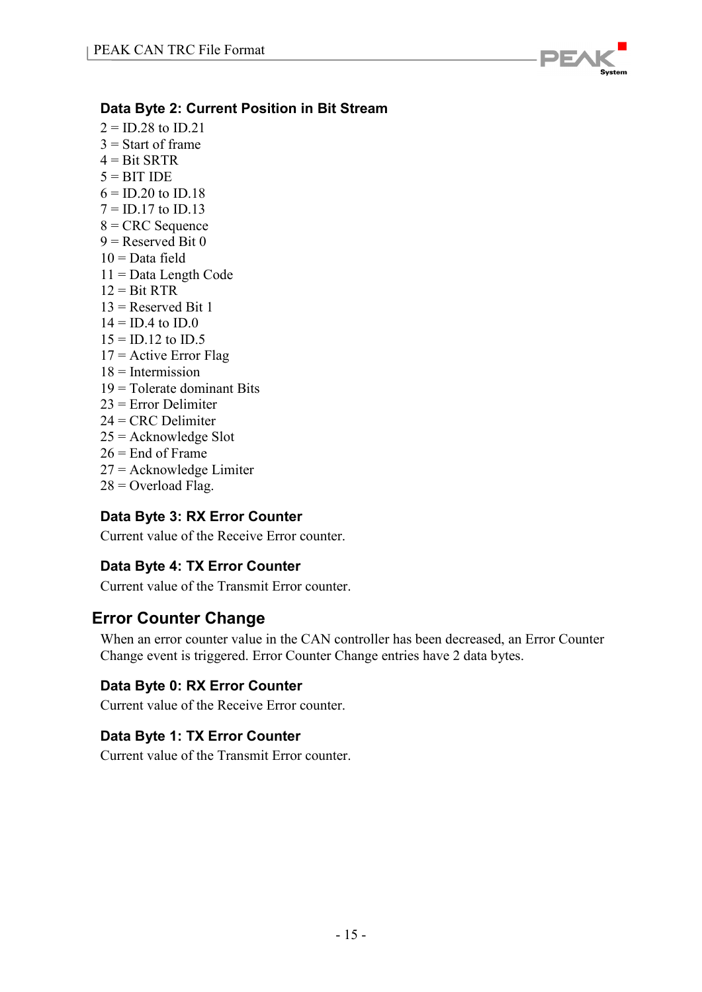

### **Data Byte 2: Current Position in Bit Stream**

- $2 = ID.28$  to  $ID.21$
- $3$  = Start of frame
- $4 = \text{Bit } \text{SRTR}$
- $5 = BITIDE$
- $6 = ID.20$  to  $ID.18$
- $7 = ID.17$  to  $ID.13$
- $8 =$  CRC Sequence
- $9 =$ Reserved Bit  $0$
- $10 =$ Data field
- 11 = Data Length Code
- $12 =$ Bit RTR
- $13$  = Reserved Bit 1
- $14 = ID.4$  to  $ID.0$
- $15 = ID.12$  to  $ID.5$
- $17$  = Active Error Flag
- $18$  = Intermission
- $19$  = Tolerate dominant Bits
- 23 = Error Delimiter
- $24 = CRC$  Delimiter
- $25$  = Acknowledge Slot
- $26$  = End of Frame
- 27 = Acknowledge Limiter
- $28 =$  Overload Flag.

#### **Data Byte 3: RX Error Counter**

Current value of the Receive Error counter.

## **Data Byte 4: TX Error Counter**

Current value of the Transmit Error counter.

# <span id="page-14-0"></span>**Error Counter Change**

When an error counter value in the CAN controller has been decreased, an Error Counter Change event is triggered. Error Counter Change entries have 2 data bytes.

#### **Data Byte 0: RX Error Counter**

Current value of the Receive Error counter.

#### **Data Byte 1: TX Error Counter**

Current value of the Transmit Error counter.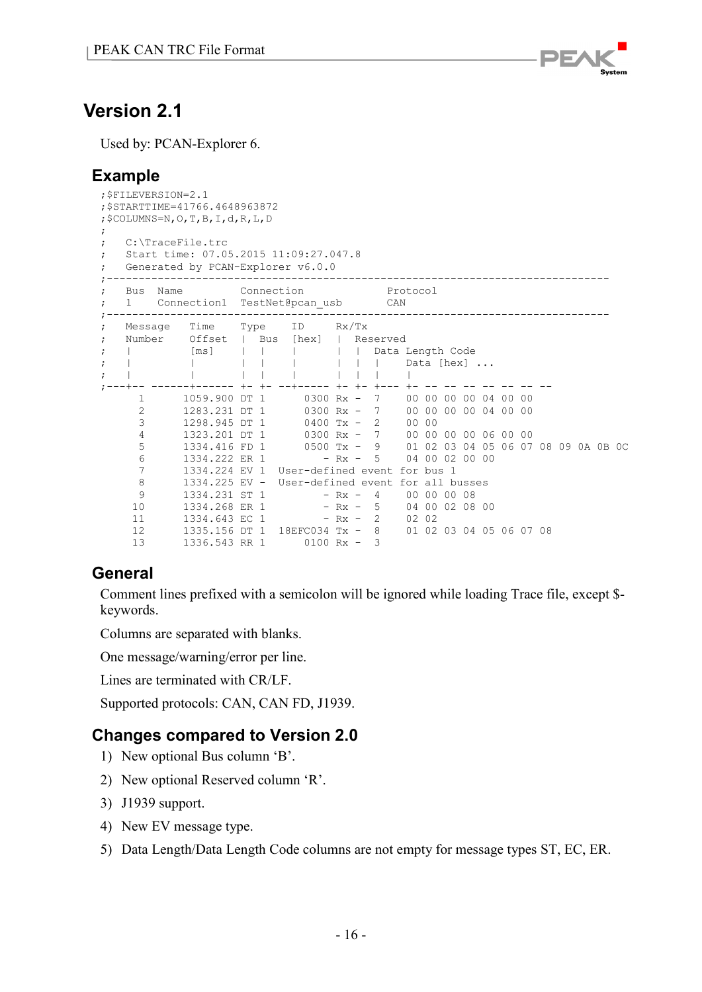

# <span id="page-15-0"></span>**Version 2.1**

Used by: PCAN-Explorer 6.

# <span id="page-15-1"></span>**Example**

```
;$FILEVERSION=2.1
;$STARTTIME=41766.4648963872
;$COLUMNS=N,O,T,B,I,d,R,L,D
;
; C:\TraceFile.trc
; Start time: 07.05.2015 11:09:27.047.8
; Generated by PCAN-Explorer v6.0.0
;-------------------------------------------------------------------------------
; Bus Name Connection Protocol
; 1 Connection1 TestNet@pcan_usb CAN
;-------------------------------------------------------------------------------
; Message Time Type ID Rx/Tx
; Number Offset | Bus [hex] | Reserved
; | [ms] | | | | Data Length Code
; | | | | | | | | | Data [hex] ...
; | | | | | | | | |
;---+-- ------+------ +- +- --+----- +- +- +--- +- -- -- -- -- -- -- --
 1 1059.900 DT 1 0300 Rx - 7 00 00 00 00 04 00 00 
 2 1283.231 DT 1 0300 Rx - 7 00 00 00 00 04 00 00 
 3 1298.945 DT 1 0400 Tx - 2 00 00 
 4 1323.201 DT 1 0300 Rx - 7 00 00 00 00 06 00 00 
 5 1334.416 FD 1 0500 Tx - 9 01 02 03 04 05 06 07 08 09 0A 0B 0C
 6 1334.222 ER 1 - Rx - 5 04 00 02 00 00
 7 1334.224 EV 1 User-defined event for bus 1
 8 1334.225 EV - User-defined event for all busses
9 1334.231 ST 1 - Rx - 4 00 00 00 08
10 1334.268 ER 1 - Rx - 5 04 00 02 08 00
11 1334.643 EC 1 - Rx - 2 02 02
 12 1335.156 DT 1 18EFC034 Tx - 8 01 02 03 04 05 06 07 08
 13 1336.543 RR 1 0100 Rx - 3
```
# <span id="page-15-2"></span>**General**

Comment lines prefixed with a semicolon will be ignored while loading Trace file, except \$ keywords.

Columns are separated with blanks.

One message/warning/error per line.

Lines are terminated with CR/LF.

Supported protocols: CAN, CAN FD, J1939.

## <span id="page-15-3"></span>**Changes compared to Version 2.0**

- 1) New optional Bus column 'B'.
- 2) New optional Reserved column 'R'.
- 3) J1939 support.
- 4) New EV message type.
- 5) Data Length/Data Length Code columns are not empty for message types ST, EC, ER.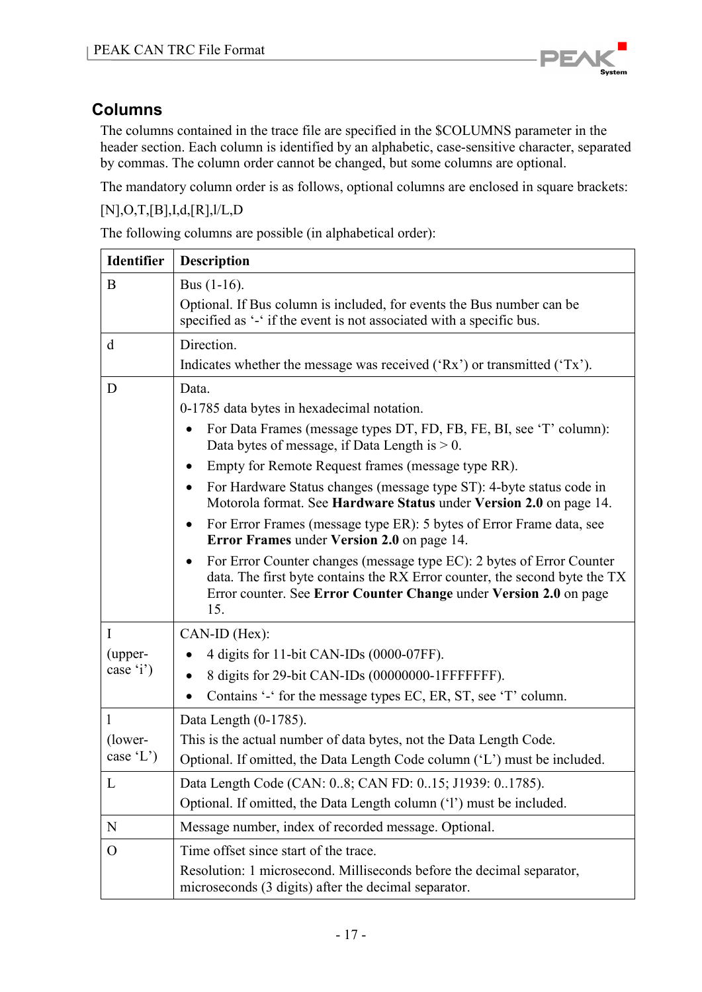

# <span id="page-16-0"></span>**Columns**

The columns contained in the trace file are specified in the \$COLUMNS parameter in the header section. Each column is identified by an alphabetic, case-sensitive character, separated by commas. The column order cannot be changed, but some columns are optional.

The mandatory column order is as follows, optional columns are enclosed in square brackets:

[N],O,T,[B],I,d,[R],l/L,D

The following columns are possible (in alphabetical order):

| <b>Identifier</b> | Description                                                                                                                                                                                                                                  |  |  |  |  |
|-------------------|----------------------------------------------------------------------------------------------------------------------------------------------------------------------------------------------------------------------------------------------|--|--|--|--|
| B                 | Bus $(1-16)$ .                                                                                                                                                                                                                               |  |  |  |  |
|                   | Optional. If Bus column is included, for events the Bus number can be<br>specified as '-' if the event is not associated with a specific bus.                                                                                                |  |  |  |  |
| d                 | Direction.                                                                                                                                                                                                                                   |  |  |  |  |
|                   | Indicates whether the message was received $({Rx})$ or transmitted $({Tx})$ .                                                                                                                                                                |  |  |  |  |
| D                 | Data.                                                                                                                                                                                                                                        |  |  |  |  |
|                   | 0-1785 data bytes in hexadecimal notation.                                                                                                                                                                                                   |  |  |  |  |
|                   | For Data Frames (message types DT, FD, FB, FE, BI, see 'T' column):<br>$\bullet$<br>Data bytes of message, if Data Length is $> 0$ .                                                                                                         |  |  |  |  |
|                   | Empty for Remote Request frames (message type RR).<br>$\bullet$                                                                                                                                                                              |  |  |  |  |
|                   | For Hardware Status changes (message type ST): 4-byte status code in<br>$\bullet$<br>Motorola format. See Hardware Status under Version 2.0 on page 14.                                                                                      |  |  |  |  |
|                   | For Error Frames (message type ER): 5 bytes of Error Frame data, see<br>$\bullet$<br>Error Frames under Version 2.0 on page 14.                                                                                                              |  |  |  |  |
|                   | For Error Counter changes (message type EC): 2 bytes of Error Counter<br>$\bullet$<br>data. The first byte contains the RX Error counter, the second byte the TX<br>Error counter. See Error Counter Change under Version 2.0 on page<br>15. |  |  |  |  |
| $\mathbf I$       | $CAN-ID (Hex):$                                                                                                                                                                                                                              |  |  |  |  |
| (upper-           | 4 digits for 11-bit CAN-IDs (0000-07FF).                                                                                                                                                                                                     |  |  |  |  |
| case 'i')         | 8 digits for 29-bit CAN-IDs (00000000-1FFFFFFFF).<br>$\bullet$                                                                                                                                                                               |  |  |  |  |
|                   | Contains '-' for the message types EC, ER, ST, see 'T' column.<br>$\bullet$                                                                                                                                                                  |  |  |  |  |
| 1                 | Data Length (0-1785).                                                                                                                                                                                                                        |  |  |  |  |
| (lower-           | This is the actual number of data bytes, not the Data Length Code.                                                                                                                                                                           |  |  |  |  |
| case 'L')         | Optional. If omitted, the Data Length Code column ('L') must be included.                                                                                                                                                                    |  |  |  |  |
| L                 | Data Length Code (CAN: 08; CAN FD: 015; J1939: 01785).                                                                                                                                                                                       |  |  |  |  |
|                   | Optional. If omitted, the Data Length column ('l') must be included.                                                                                                                                                                         |  |  |  |  |
| $\mathbf N$       | Message number, index of recorded message. Optional.                                                                                                                                                                                         |  |  |  |  |
| $\mathbf{O}$      | Time offset since start of the trace.                                                                                                                                                                                                        |  |  |  |  |
|                   | Resolution: 1 microsecond. Milliseconds before the decimal separator,<br>microseconds (3 digits) after the decimal separator.                                                                                                                |  |  |  |  |